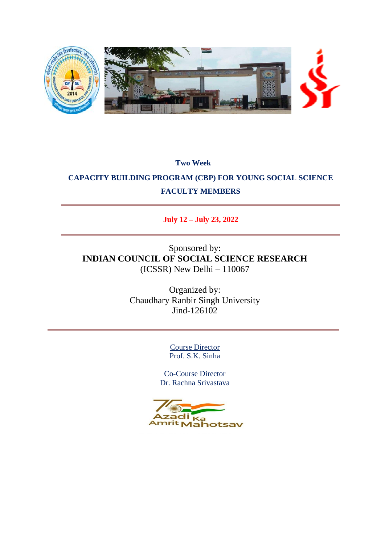

**Two Week**

# **CAPACITY BUILDING PROGRAM (CBP) FOR YOUNG SOCIAL SCIENCE FACULTY MEMBERS**

## **July 12 – July 23, 2022**

## Sponsored by: **INDIAN COUNCIL OF SOCIAL SCIENCE RESEARCH** (ICSSR) New Delhi – 110067

Organized by: Chaudhary Ranbir Singh University Jind-126102

> Course Director Prof. S.K. Sinha

Co-Course Director Dr. Rachna Srivastava

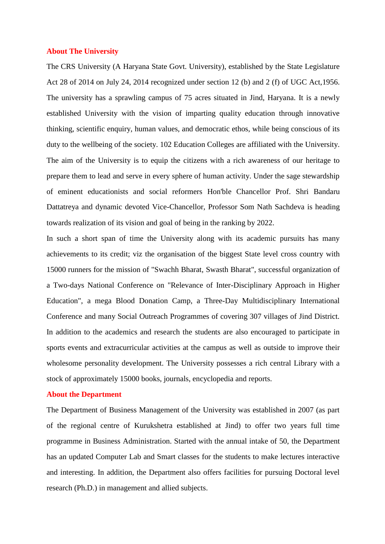#### **About The University**

The CRS University (A Haryana State Govt. University), established by the State Legislature Act 28 of 2014 on July 24, 2014 recognized under section 12 (b) and 2 (f) of UGC Act,1956. The university has a sprawling campus of 75 acres situated in Jind, Haryana. It is a newly established University with the vision of imparting quality education through innovative thinking, scientific enquiry, human values, and democratic ethos, while being conscious of its duty to the wellbeing of the society. 102 Education Colleges are affiliated with the University. The aim of the University is to equip the citizens with a rich awareness of our heritage to prepare them to lead and serve in every sphere of human activity. Under the sage stewardship of eminent educationists and social reformers Hon'ble Chancellor Prof. Shri Bandaru Dattatreya and dynamic devoted Vice-Chancellor, Professor Som Nath Sachdeva is heading towards realization of its vision and goal of being in the ranking by 2022.

In such a short span of time the University along with its academic pursuits has many achievements to its credit; viz the organisation of the biggest State level cross country with 15000 runners for the mission of "Swachh Bharat, Swasth Bharat", successful organization of a Two-days National Conference on "Relevance of Inter-Disciplinary Approach in Higher Education", a mega Blood Donation Camp, a Three-Day Multidisciplinary International Conference and many Social Outreach Programmes of covering 307 villages of Jind District. In addition to the academics and research the students are also encouraged to participate in sports events and extracurricular activities at the campus as well as outside to improve their wholesome personality development. The University possesses a rich central Library with a stock of approximately 15000 books, journals, encyclopedia and reports.

#### **About the Department**

The Department of Business Management of the University was established in 2007 (as part of the regional centre of Kurukshetra established at Jind) to offer two years full time programme in Business Administration. Started with the annual intake of 50, the Department has an updated Computer Lab and Smart classes for the students to make lectures interactive and interesting. In addition, the Department also offers facilities for pursuing Doctoral level research (Ph.D.) in management and allied subjects.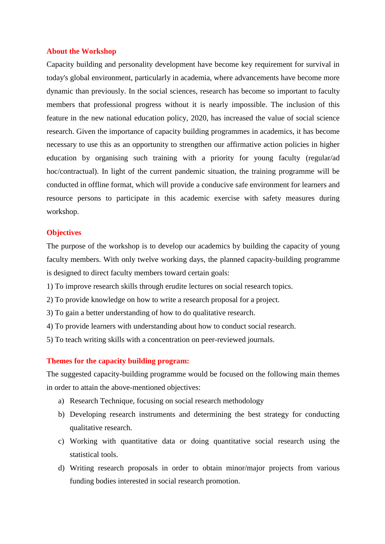#### **About the Workshop**

Capacity building and personality development have become key requirement for survival in today's global environment, particularly in academia, where advancements have become more dynamic than previously. In the social sciences, research has become so important to faculty members that professional progress without it is nearly impossible. The inclusion of this feature in the new national education policy, 2020, has increased the value of social science research. Given the importance of capacity building programmes in academics, it has become necessary to use this as an opportunity to strengthen our affirmative action policies in higher education by organising such training with a priority for young faculty (regular/ad hoc/contractual). In light of the current pandemic situation, the training programme will be conducted in offline format, which will provide a conducive safe environment for learners and resource persons to participate in this academic exercise with safety measures during workshop.

#### **Objectives**

The purpose of the workshop is to develop our academics by building the capacity of young faculty members. With only twelve working days, the planned capacity-building programme is designed to direct faculty members toward certain goals:

- 1) To improve research skills through erudite lectures on social research topics.
- 2) To provide knowledge on how to write a research proposal for a project.
- 3) To gain a better understanding of how to do qualitative research.
- 4) To provide learners with understanding about how to conduct social research.
- 5) To teach writing skills with a concentration on peer-reviewed journals.

#### **Themes for the capacity building program:**

The suggested capacity-building programme would be focused on the following main themes in order to attain the above-mentioned objectives:

- a) Research Technique, focusing on social research methodology
- b) Developing research instruments and determining the best strategy for conducting qualitative research.
- c) Working with quantitative data or doing quantitative social research using the statistical tools.
- d) Writing research proposals in order to obtain minor/major projects from various funding bodies interested in social research promotion.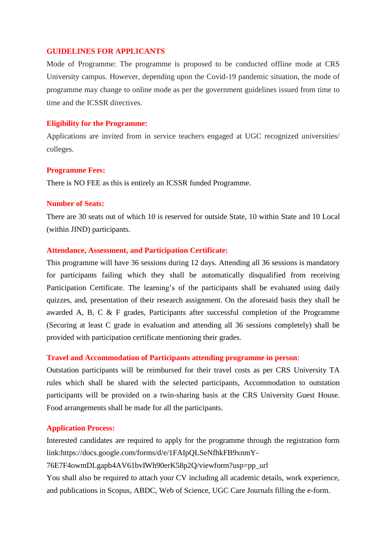#### **GUIDELINES FOR APPLICANTS**

Mode of Programme: The programme is proposed to be conducted offline mode at CRS University campus. However, depending upon the Covid-19 pandemic situation, the mode of programme may change to online mode as per the government guidelines issued from time to time and the ICSSR directives.

#### **Eligibility for the Programme:**

Applications are invited from in service teachers engaged at UGC recognized universities/ colleges.

#### **Programme Fees:**

There is NO FEE as this is entirely an ICSSR funded Programme.

#### **Number of Seats:**

There are 30 seats out of which 10 is reserved for outside State, 10 within State and 10 Local (within JIND) participants.

#### **Attendance, Assessment, and Participation Certificate:**

This programme will have 36 sessions during 12 days. Attending all 36 sessions is mandatory for participants failing which they shall be automatically disqualified from receiving Participation Certificate. The learning's of the participants shall be evaluated using daily quizzes, and, presentation of their research assignment. On the aforesaid basis they shall be awarded A, B, C & F grades, Participants after successful completion of the Programme (Securing at least C grade in evaluation and attending all 36 sessions completely) shall be provided with participation certificate mentioning their grades.

#### **Travel and Accommodation of Participants attending programme in person**:

Outstation participants will be reimbursed for their travel costs as per CRS University TA rules which shall be shared with the selected participants, Accommodation to outstation participants will be provided on a twin-sharing basis at the CRS University Guest House. Food arrangements shall be made for all the participants.

#### **Application Process:**

Interested candidates are required to apply for the programme through the registration form link:https://docs.google.com/forms/d/e/1FAIpQLSeNfhkFB9xnmY-

76E7F4owmDLgapb4AV61bvIWh90erK58p2Q/viewform?usp=pp\_url

You shall also be required to attach your CV including all academic details, work experience, and publications in Scopus, ABDC, Web of Science, UGC Care Journals filling the e-form.